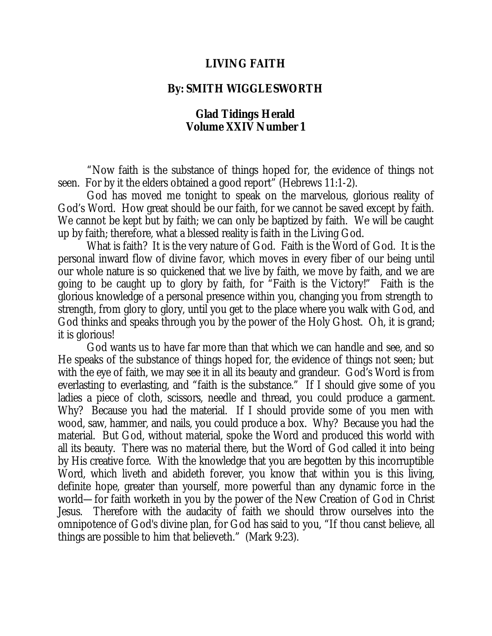## **LIVING FAITH**

## **By: SMITH WIGGLESWORTH**

## **Glad Tidings Herald Volume XXIV Number 1**

"Now faith is the substance of things hoped for, the evidence of things not seen. For by it the elders obtained a good report" (Hebrews 11:1-2).

God has moved me tonight to speak on the marvelous, glorious reality of God's Word. How great should be our faith, for we cannot be saved except by faith. We cannot be kept but by faith; we can only be baptized by faith. We will be caught up by faith; therefore, what a blessed reality is faith in the Living God.

What is faith? It is the very nature of God. Faith is the Word of God. It is the personal inward flow of divine favor, which moves in every fiber of our being until our whole nature is so quickened that we live by faith, we move by faith, and we are going to be caught up to glory by faith, for "Faith is the Victory!" Faith is the glorious knowledge of a personal presence within you, changing you from strength to strength, from glory to glory, until you get to the place where you walk with God, and God thinks and speaks through you by the power of the Holy Ghost. Oh, it is grand; it is glorious!

God wants us to have far more than that which we can handle and see, and so He speaks of the substance of things hoped for, the evidence of things not seen; but with the eye of faith, we may see it in all its beauty and grandeur. God's Word is from everlasting to everlasting, and "faith is the substance." If I should give some of you ladies a piece of cloth, scissors, needle and thread, you could produce a garment. Why? Because you had the material. If I should provide some of you men with wood, saw, hammer, and nails, you could produce a box. Why? Because you had the material. But God, without material, spoke the Word and produced this world with all its beauty. There was no material there, but the Word of God called it into being by His creative force. With the knowledge that you are begotten by this incorruptible Word, which liveth and abideth forever, you know that within you is this living, definite hope, greater than yourself, more powerful than any dynamic force in the world—for faith worketh in you by the power of the New Creation of God in Christ Jesus. Therefore with the audacity of faith we should throw ourselves into the omnipotence of God's divine plan, for God has said to you, "If thou canst believe, all things are possible to him that believeth." (Mark 9:23).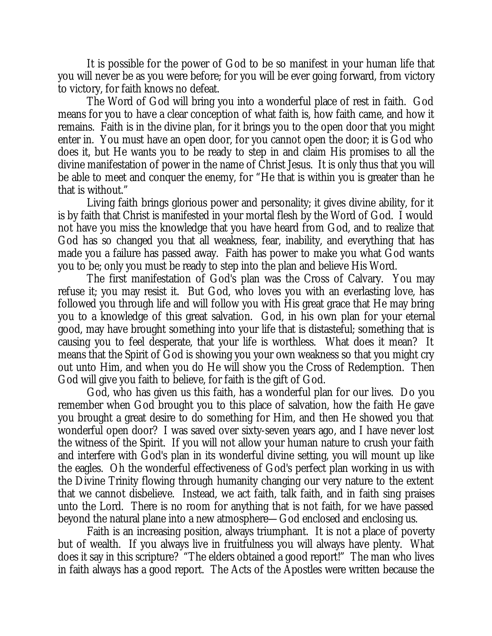It is possible for the power of God to be so manifest in your human life that you will never be as you were before; for you will be ever going forward, from victory to victory, for faith knows no defeat.

The Word of God will bring you into a wonderful place of rest in faith. God means for you to have a clear conception of what faith is, how faith came, and how it remains. Faith is in the divine plan, for it brings you to the open door that you might enter in. You must have an open door, for you cannot open the door; it is God who does it, but He wants you to be ready to step in and claim His promises to all the divine manifestation of power in the name of Christ Jesus. It is only thus that you will be able to meet and conquer the enemy, for "He that is within you is greater than he that is without."

Living faith brings glorious power and personality; it gives divine ability, for it is by faith that Christ is manifested in your mortal flesh by the Word of God. I would not have you miss the knowledge that you have heard from God, and to realize that God has so changed you that all weakness, fear, inability, and everything that has made you a failure has passed away. Faith has power to make you what God wants you to be; only you must be ready to step into the plan and believe His Word.

The first manifestation of God's plan was the Cross of Calvary. You may refuse it; you may resist it. But God, who loves you with an everlasting love, has followed you through life and will follow you with His great grace that He may bring you to a knowledge of this great salvation. God, in his own plan for your eternal good, may have brought something into your life that is distasteful; something that is causing you to feel desperate, that your life is worthless. What does it mean? It means that the Spirit of God is showing you your own weakness so that you might cry out unto Him, and when you do He will show you the Cross of Redemption. Then God will give you faith to believe, for faith is the gift of God.

God, who has given us this faith, has a wonderful plan for our lives. Do you remember when God brought you to this place of salvation, how the faith He gave you brought a great desire to do something for Him, and then He showed you that wonderful open door? I was saved over sixty-seven years ago, and I have never lost the witness of the Spirit. If you will not allow your human nature to crush your faith and interfere with God's plan in its wonderful divine setting, you will mount up like the eagles. Oh the wonderful effectiveness of God's perfect plan working in us with the Divine Trinity flowing through humanity changing our very nature to the extent that we cannot disbelieve. Instead, we act faith, talk faith, and in faith sing praises unto the Lord. There is no room for anything that is not faith, for we have passed beyond the natural plane into a new atmosphere—God enclosed and enclosing us.

Faith is an increasing position, always triumphant. It is not a place of poverty but of wealth. If you always live in fruitfulness you will always have plenty. What does it say in this scripture? "The elders obtained a good report!" The man who lives in faith always has a good report. The Acts of the Apostles were written because the